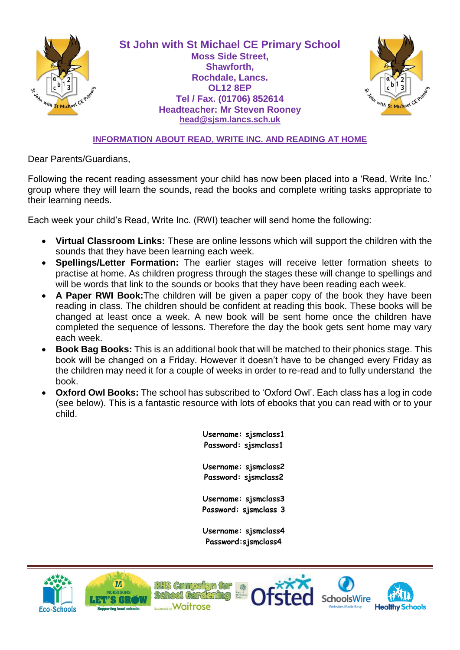

**St John with St Michael CE Primary School Moss Side Street, Shawforth, Rochdale, Lancs. OL12 8EP Tel / Fax. (01706) 852614 Headteacher: Mr Steven Rooney [head@sjsm.lancs.sch.uk](mailto:head@sjsm.lancs.sch.uk)**



## **INFORMATION ABOUT READ, WRITE INC. AND READING AT HOME**

Dear Parents/Guardians,

Following the recent reading assessment your child has now been placed into a 'Read, Write Inc.' group where they will learn the sounds, read the books and complete writing tasks appropriate to their learning needs.

Each week your child's Read, Write Inc. (RWI) teacher will send home the following:

- **Virtual Classroom Links:** These are online lessons which will support the children with the sounds that they have been learning each week.
- **Spellings/Letter Formation:** The earlier stages will receive letter formation sheets to practise at home. As children progress through the stages these will change to spellings and will be words that link to the sounds or books that they have been reading each week.
- **A Paper RWI Book:**The children will be given a paper copy of the book they have been reading in class. The children should be confident at reading this book. These books will be changed at least once a week. A new book will be sent home once the children have completed the sequence of lessons. Therefore the day the book gets sent home may vary each week.
- **Book Bag Books:** This is an additional book that will be matched to their phonics stage. This book will be changed on a Friday. However it doesn't have to be changed every Friday as the children may need it for a couple of weeks in order to re-read and to fully understand the book.
- **Oxford Owl Books:** The school has subscribed to 'Oxford Owl'. Each class has a log in code (see below). This is a fantastic resource with lots of ebooks that you can read with or to your child.

**Username: sjsmclass1 Password: sjsmclass1 Username: sjsmclass2 Password: sjsmclass2 Username: sjsmclass3 Password: sjsmclass 3 Username: sjsmclass4 Password:sjsmclass4**





School Car

RHS Campaign for Waitrose